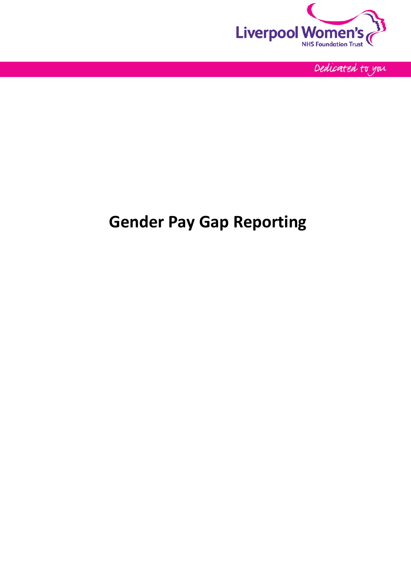

Dedicated to you

# **Gender Pay Gap Reporting**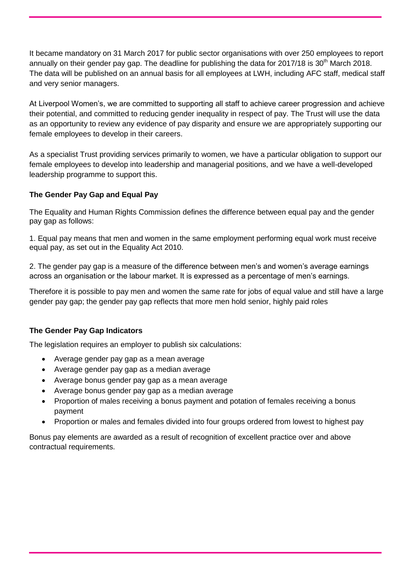It became mandatory on 31 March 2017 for public sector organisations with over 250 employees to report annually on their gender pay gap. The deadline for publishing the data for  $2017/18$  is  $30<sup>th</sup>$  March 2018. The data will be published on an annual basis for all employees at LWH, including AFC staff, medical staff and very senior managers.

At Liverpool Women's, we are committed to supporting all staff to achieve career progression and achieve their potential, and committed to reducing gender inequality in respect of pay. The Trust will use the data as an opportunity to review any evidence of pay disparity and ensure we are appropriately supporting our female employees to develop in their careers.

As a specialist Trust providing services primarily to women, we have a particular obligation to support our female employees to develop into leadership and managerial positions, and we have a well-developed leadership programme to support this.

### **The Gender Pay Gap and Equal Pay**

The Equality and Human Rights Commission defines the difference between equal pay and the gender pay gap as follows:

1. Equal pay means that men and women in the same employment performing equal work must receive equal pay, as set out in the Equality Act 2010.

2. The gender pay gap is a measure of the difference between men's and women's average earnings across an organisation or the labour market. It is expressed as a percentage of men's earnings.

Therefore it is possible to pay men and women the same rate for jobs of equal value and still have a large gender pay gap; the gender pay gap reflects that more men hold senior, highly paid roles

#### **The Gender Pay Gap Indicators**

The legislation requires an employer to publish six calculations:

- Average gender pay gap as a mean average
- Average gender pay gap as a median average
- Average bonus gender pay gap as a mean average
- Average bonus gender pay gap as a median average
- Proportion of males receiving a bonus payment and potation of females receiving a bonus payment
- Proportion or males and females divided into four groups ordered from lowest to highest pay

Bonus pay elements are awarded as a result of recognition of excellent practice over and above contractual requirements.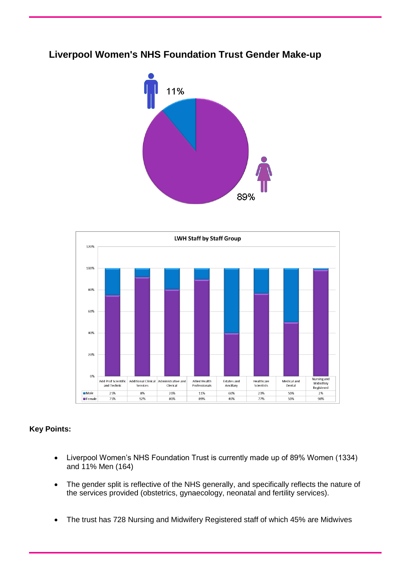# 11% 89%

#### **LWH Staff by Staff Group** 120% 100% 80% 60% 40% 20% 0% Nursing and<br>Midwifery<br>Registered Add Prof Scientific | Additional Clinical | Administrative and<br>
and Technic | Services | Clerical Allied Health<br>Professionals Estates and<br>Ancillary Healthcare<br>Scientists Medical and<br>Dental  $M = M$ 25% 20% 11% 60% 23% 50% 89 2% **E** Female 759 92% 80% 89% 40% 77% 50% 98%

## **Key Points:**

- Liverpool Women's NHS Foundation Trust is currently made up of 89% Women (1334) and 11% Men (164)
- The gender split is reflective of the NHS generally, and specifically reflects the nature of the services provided (obstetrics, gynaecology, neonatal and fertility services).
- The trust has 728 Nursing and Midwifery Registered staff of which 45% are Midwives

## **Liverpool Women's NHS Foundation Trust Gender Make-up**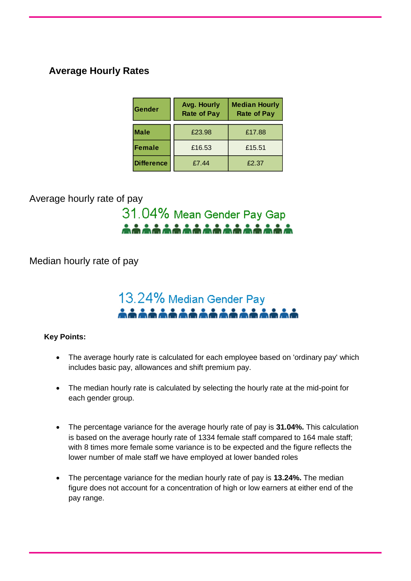## **Average Hourly Rates**

| <b>Gender</b>     | Avg. Hourly<br><b>Rate of Pay</b> | <b>Median Hourly</b><br><b>Rate of Pay</b> |  |
|-------------------|-----------------------------------|--------------------------------------------|--|
| <b>Male</b>       | £23.98                            | £17.88                                     |  |
| Female            | £16.53                            | £15.51                                     |  |
| <b>Difference</b> | £7.44                             | £2.37                                      |  |

Average hourly rate of pay

## 31.04% Mean Gender Pay Gap \*\*\*\*\*\*\*\*\*\*\*\*\*\*\*\*\*

Median hourly rate of pay

# 13.24% Median Gender Pay \*\*\*\*\*\*\*\*\*\*\*\*\*\*\*\*

## **Key Points:**

- The average hourly rate is calculated for each employee based on 'ordinary pay' which includes basic pay, allowances and shift premium pay.
- The median hourly rate is calculated by selecting the hourly rate at the mid-point for each gender group.
- The percentage variance for the average hourly rate of pay is **31.04%.** This calculation is based on the average hourly rate of 1334 female staff compared to 164 male staff; with 8 times more female some variance is to be expected and the figure reflects the lower number of male staff we have employed at lower banded roles
- The percentage variance for the median hourly rate of pay is **13.24%.** The median figure does not account for a concentration of high or low earners at either end of the pay range.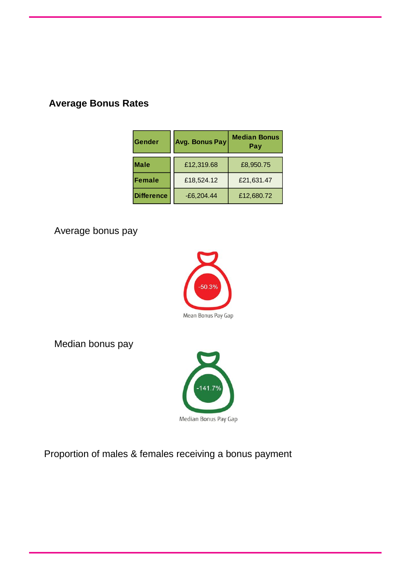## **Average Bonus Rates**

| Gender            | <b>Avg. Bonus Pay</b> | <b>Median Bonus</b><br>Pay |  |
|-------------------|-----------------------|----------------------------|--|
| <b>Male</b>       | £12,319.68            | £8,950.75                  |  |
| Female            | £18,524.12            | £21,631.47                 |  |
| <b>Difference</b> | $-E6,204.44$          | £12,680.72                 |  |

Average bonus pay



Median bonus pay



Proportion of males & females receiving a bonus payment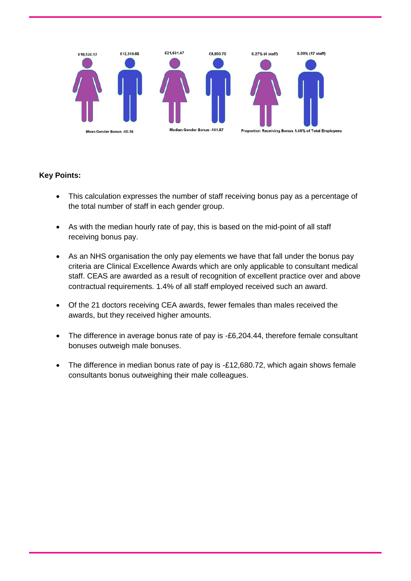

### **Key Points:**

- This calculation expresses the number of staff receiving bonus pay as a percentage of the total number of staff in each gender group.
- As with the median hourly rate of pay, this is based on the mid-point of all staff receiving bonus pay.
- As an NHS organisation the only pay elements we have that fall under the bonus pay criteria are Clinical Excellence Awards which are only applicable to consultant medical staff. CEAS are awarded as a result of recognition of excellent practice over and above contractual requirements. 1.4% of all staff employed received such an award.
- Of the 21 doctors receiving CEA awards, fewer females than males received the awards, but they received higher amounts.
- The difference in average bonus rate of pay is -£6,204.44, therefore female consultant bonuses outweigh male bonuses.
- The difference in median bonus rate of pay is -£12,680.72, which again shows female consultants bonus outweighing their male colleagues.